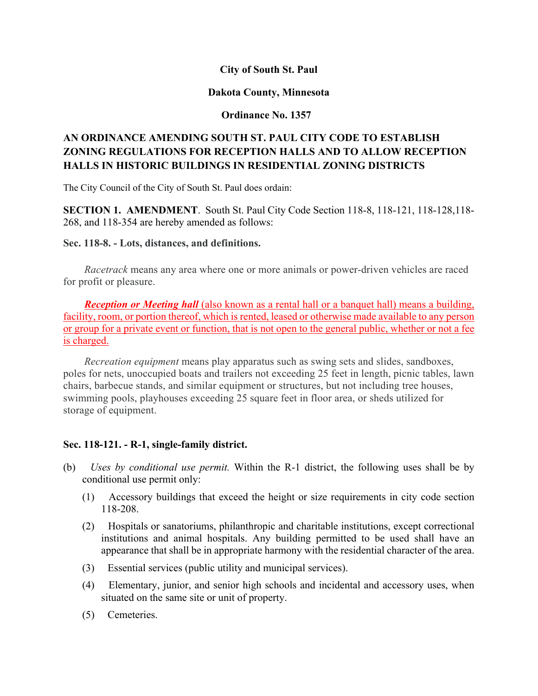# **City of South St. Paul**

## **Dakota County, Minnesota**

# **Ordinance No. 1357**

# **AN ORDINANCE AMENDING SOUTH ST. PAUL CITY CODE TO ESTABLISH ZONING REGULATIONS FOR RECEPTION HALLS AND TO ALLOW RECEPTION HALLS IN HISTORIC BUILDINGS IN RESIDENTIAL ZONING DISTRICTS**

The City Council of the City of South St. Paul does ordain:

**SECTION 1. AMENDMENT**. South St. Paul City Code Section 118-8, 118-121, 118-128,118- 268, and 118-354 are hereby amended as follows:

#### **Sec. 118-8. - Lots, distances, and definitions.**

*Racetrack* means any area where one or more animals or power-driven vehicles are raced for profit or pleasure.

*Reception or Meeting hall* (also known as a rental hall or a banquet hall) means a building, facility, room, or portion thereof, which is rented, leased or otherwise made available to any person or group for a private event or function, that is not open to the general public, whether or not a fee is charged.

*Recreation equipment* means play apparatus such as swing sets and slides, sandboxes, poles for nets, unoccupied boats and trailers not exceeding 25 feet in length, picnic tables, lawn chairs, barbecue stands, and similar equipment or structures, but not including tree houses, swimming pools, playhouses exceeding 25 square feet in floor area, or sheds utilized for storage of equipment.

# **Sec. 118-121. - R-1, single-family district.**

- (b) *Uses by conditional use permit.* Within the R-1 district, the following uses shall be by conditional use permit only:
	- (1) Accessory buildings that exceed the height or size requirements in city code section 118-208.
	- (2) Hospitals or sanatoriums, philanthropic and charitable institutions, except correctional institutions and animal hospitals. Any building permitted to be used shall have an appearance that shall be in appropriate harmony with the residential character of the area.
	- (3) Essential services (public utility and municipal services).
	- (4) Elementary, junior, and senior high schools and incidental and accessory uses, when situated on the same site or unit of property.
	- (5) Cemeteries.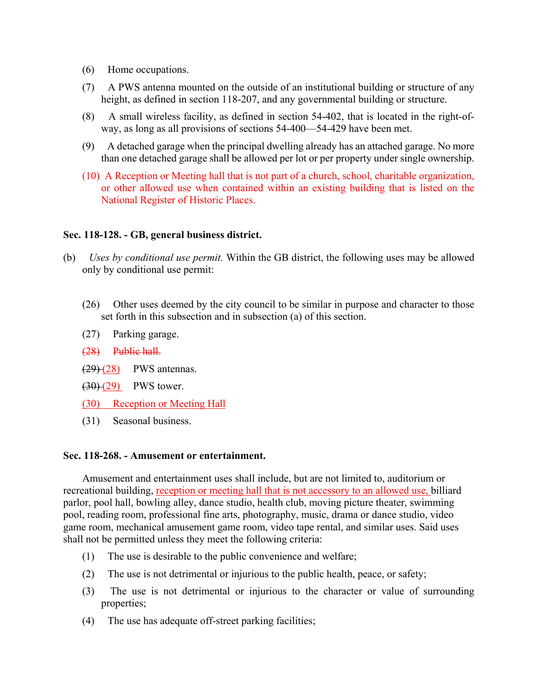- (6) Home occupations.
- (7) A PWS antenna mounted on the outside of an institutional building or structure of any height, as defined in section 118-207, and any governmental building or structure.
- (8) A small wireless facility, as defined in section 54-402, that is located in the right-ofway, as long as all provisions of sections 54-400—54-429 have been met.
- (9) A detached garage when the principal dwelling already has an attached garage. No more than one detached garage shall be allowed per lot or per property under single ownership.
- (10) A Reception or Meeting hall that is not part of a church, school, charitable organization, or other allowed use when contained within an existing building that is listed on the National Register of Historic Places.

#### **Sec. 118-128. - GB, general business district.**

- (b) *Uses by conditional use permit.* Within the GB district, the following uses may be allowed only by conditional use permit:
	- (26) Other uses deemed by the city council to be similar in purpose and character to those set forth in this subsection and in subsection (a) of this section.
	- (27) Parking garage.
	- (28) Public hall.
	- $(29)(28)$  PWS antennas.
	- $(30)(29)$  PWS tower.
	- (30) Reception or Meeting Hall
	- (31) Seasonal business.

#### **Sec. 118-268. - Amusement or entertainment.**

Amusement and entertainment uses shall include, but are not limited to, auditorium or recreational building, reception or meeting hall that is not accessory to an allowed use, billiard parlor, pool hall, bowling alley, dance studio, health club, moving picture theater, swimming pool, reading room, professional fine arts, photography, music, drama or dance studio, video game room, mechanical amusement game room, video tape rental, and similar uses. Said uses shall not be permitted unless they meet the following criteria:

- (1) The use is desirable to the public convenience and welfare;
- (2) The use is not detrimental or injurious to the public health, peace, or safety;
- (3) The use is not detrimental or injurious to the character or value of surrounding properties;
- (4) The use has adequate off-street parking facilities;